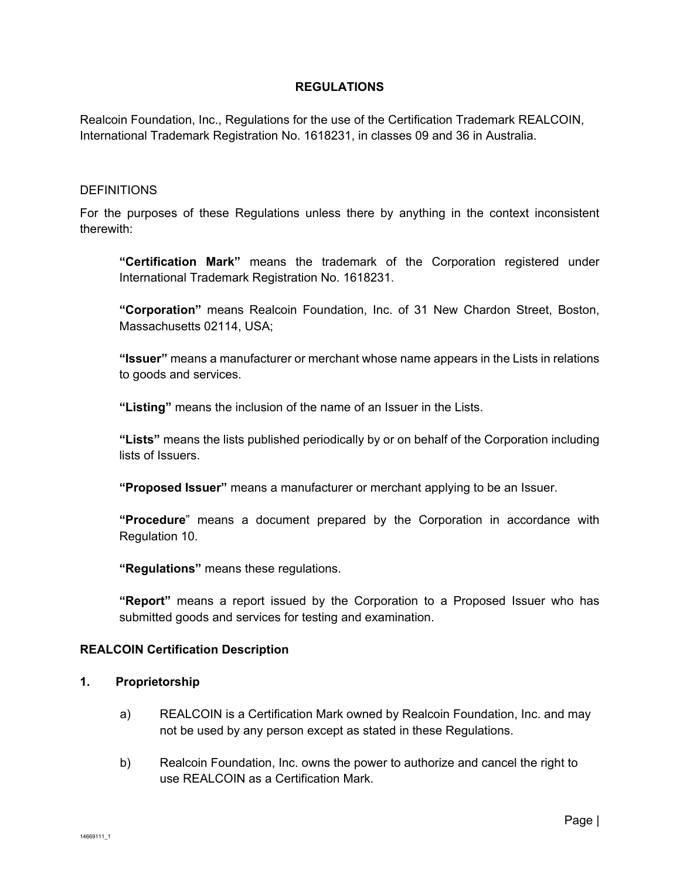### **REGULATIONS**

Realcoin Foundation, Inc., Regulations for the use of the Certification Trademark REALCOIN, International Trademark Registration No. 1618231, in classes 09 and 36 in Australia.

#### **DEFINITIONS**

For the purposes of these Regulations unless there by anything in the context inconsistent therewith:

**"Certification Mark"** means the trademark of the Corporation registered under International Trademark Registration No. 1618231.

**"Corporation"** means Realcoin Foundation, Inc. of 31 New Chardon Street, Boston, Massachusetts 02114, USA;

**"Issuer"** means a manufacturer or merchant whose name appears in the Lists in relations to goods and services.

**"Listing"** means the inclusion of the name of an Issuer in the Lists.

**"Lists"** means the lists published periodically by or on behalf of the Corporation including lists of Issuers.

**"Proposed Issuer"** means a manufacturer or merchant applying to be an Issuer.

**"Procedure**" means a document prepared by the Corporation in accordance with Regulation 10.

**"Regulations"** means these regulations.

**"Report"** means a report issued by the Corporation to a Proposed Issuer who has submitted goods and services for testing and examination.

### **REALCOIN Certification Description**

### **1. Proprietorship**

- a) REALCOIN is a Certification Mark owned by Realcoin Foundation, Inc. and may not be used by any person except as stated in these Regulations.
- b) Realcoin Foundation, Inc. owns the power to authorize and cancel the right to use REALCOIN as a Certification Mark.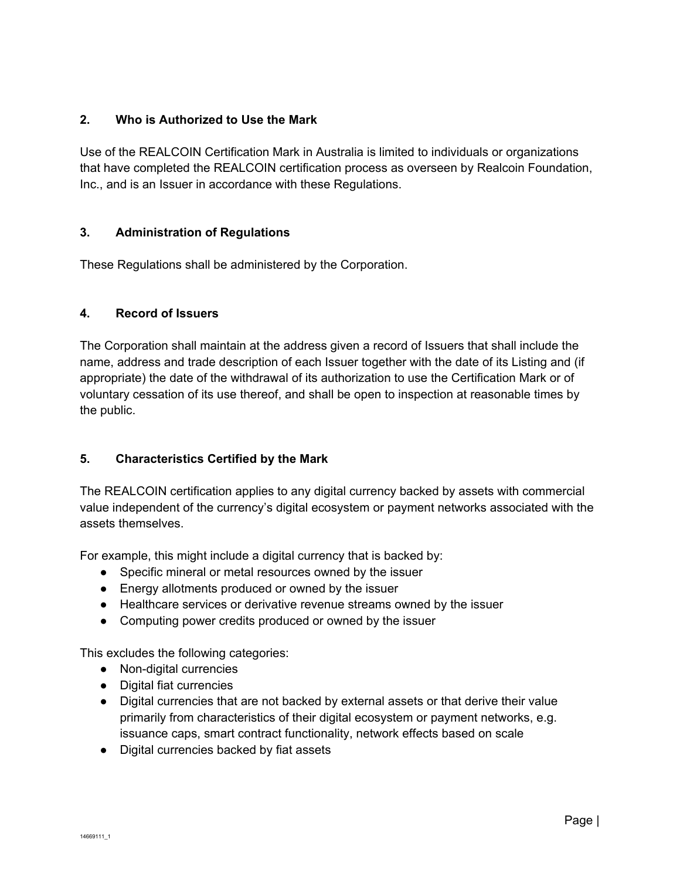# **2. Who is Authorized to Use the Mark**

Use of the REALCOIN Certification Mark in Australia is limited to individuals or organizations that have completed the REALCOIN certification process as overseen by Realcoin Foundation, Inc., and is an Issuer in accordance with these Regulations.

# **3. Administration of Regulations**

These Regulations shall be administered by the Corporation.

## **4. Record of Issuers**

The Corporation shall maintain at the address given a record of Issuers that shall include the name, address and trade description of each Issuer together with the date of its Listing and (if appropriate) the date of the withdrawal of its authorization to use the Certification Mark or of voluntary cessation of its use thereof, and shall be open to inspection at reasonable times by the public.

# **5. Characteristics Certified by the Mark**

The REALCOIN certification applies to any digital currency backed by assets with commercial value independent of the currency's digital ecosystem or payment networks associated with the assets themselves.

For example, this might include a digital currency that is backed by:

- Specific mineral or metal resources owned by the issuer
- Energy allotments produced or owned by the issuer
- Healthcare services or derivative revenue streams owned by the issuer
- Computing power credits produced or owned by the issuer

This excludes the following categories:

- Non-digital currencies
- Digital fiat currencies
- Digital currencies that are not backed by external assets or that derive their value primarily from characteristics of their digital ecosystem or payment networks, e.g. issuance caps, smart contract functionality, network effects based on scale
- Digital currencies backed by fiat assets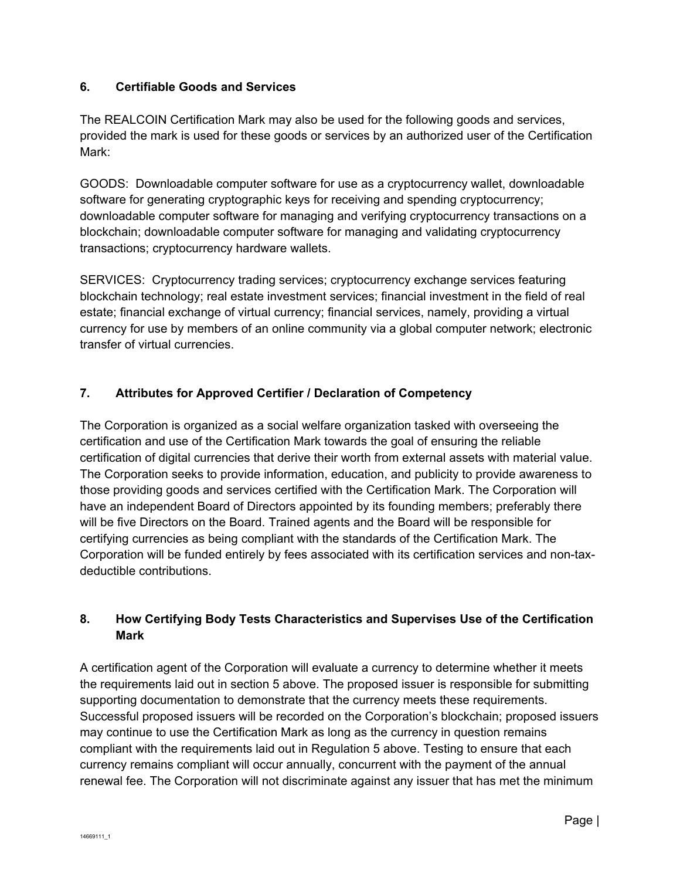# **6. Certifiable Goods and Services**

The REALCOIN Certification Mark may also be used for the following goods and services, provided the mark is used for these goods or services by an authorized user of the Certification Mark:

GOODS: Downloadable computer software for use as a cryptocurrency wallet, downloadable software for generating cryptographic keys for receiving and spending cryptocurrency; downloadable computer software for managing and verifying cryptocurrency transactions on a blockchain; downloadable computer software for managing and validating cryptocurrency transactions; cryptocurrency hardware wallets.

SERVICES: Cryptocurrency trading services; cryptocurrency exchange services featuring blockchain technology; real estate investment services; financial investment in the field of real estate; financial exchange of virtual currency; financial services, namely, providing a virtual currency for use by members of an online community via a global computer network; electronic transfer of virtual currencies.

# **7. Attributes for Approved Certifier / Declaration of Competency**

The Corporation is organized as a social welfare organization tasked with overseeing the certification and use of the Certification Mark towards the goal of ensuring the reliable certification of digital currencies that derive their worth from external assets with material value. The Corporation seeks to provide information, education, and publicity to provide awareness to those providing goods and services certified with the Certification Mark. The Corporation will have an independent Board of Directors appointed by its founding members; preferably there will be five Directors on the Board. Trained agents and the Board will be responsible for certifying currencies as being compliant with the standards of the Certification Mark. The Corporation will be funded entirely by fees associated with its certification services and non-taxdeductible contributions.

# **8. How Certifying Body Tests Characteristics and Supervises Use of the Certification Mark**

A certification agent of the Corporation will evaluate a currency to determine whether it meets the requirements laid out in section 5 above. The proposed issuer is responsible for submitting supporting documentation to demonstrate that the currency meets these requirements. Successful proposed issuers will be recorded on the Corporation's blockchain; proposed issuers may continue to use the Certification Mark as long as the currency in question remains compliant with the requirements laid out in Regulation 5 above. Testing to ensure that each currency remains compliant will occur annually, concurrent with the payment of the annual renewal fee. The Corporation will not discriminate against any issuer that has met the minimum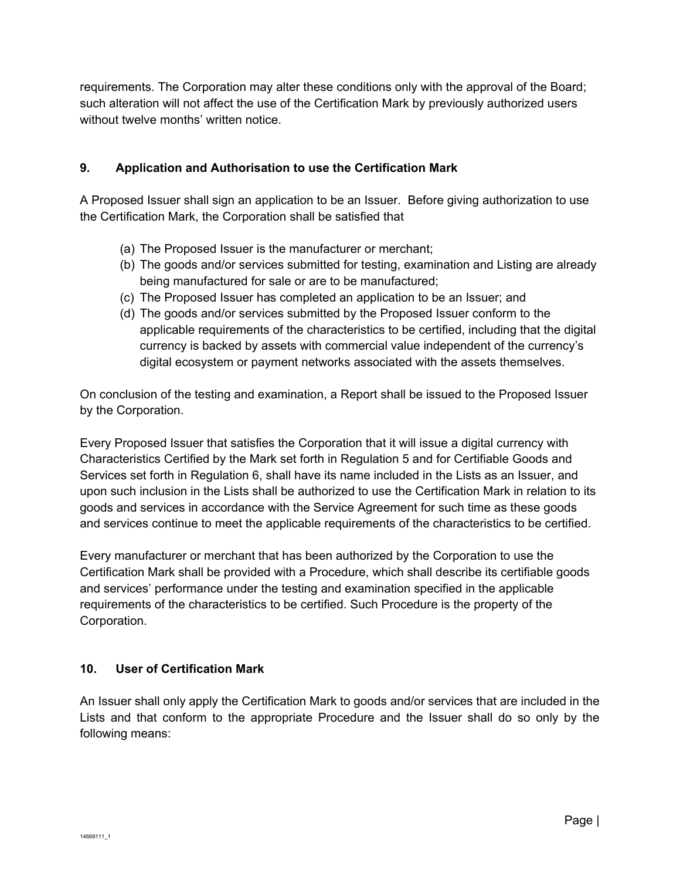requirements. The Corporation may alter these conditions only with the approval of the Board; such alteration will not affect the use of the Certification Mark by previously authorized users without twelve months' written notice.

# **9. Application and Authorisation to use the Certification Mark**

A Proposed Issuer shall sign an application to be an Issuer. Before giving authorization to use the Certification Mark, the Corporation shall be satisfied that

- (a) The Proposed Issuer is the manufacturer or merchant;
- (b) The goods and/or services submitted for testing, examination and Listing are already being manufactured for sale or are to be manufactured;
- (c) The Proposed Issuer has completed an application to be an Issuer; and
- (d) The goods and/or services submitted by the Proposed Issuer conform to the applicable requirements of the characteristics to be certified, including that the digital currency is backed by assets with commercial value independent of the currency's digital ecosystem or payment networks associated with the assets themselves.

On conclusion of the testing and examination, a Report shall be issued to the Proposed Issuer by the Corporation.

Every Proposed Issuer that satisfies the Corporation that it will issue a digital currency with Characteristics Certified by the Mark set forth in Regulation 5 and for Certifiable Goods and Services set forth in Regulation 6, shall have its name included in the Lists as an Issuer, and upon such inclusion in the Lists shall be authorized to use the Certification Mark in relation to its goods and services in accordance with the Service Agreement for such time as these goods and services continue to meet the applicable requirements of the characteristics to be certified.

Every manufacturer or merchant that has been authorized by the Corporation to use the Certification Mark shall be provided with a Procedure, which shall describe its certifiable goods and services' performance under the testing and examination specified in the applicable requirements of the characteristics to be certified. Such Procedure is the property of the Corporation.

## **10. User of Certification Mark**

An Issuer shall only apply the Certification Mark to goods and/or services that are included in the Lists and that conform to the appropriate Procedure and the Issuer shall do so only by the following means: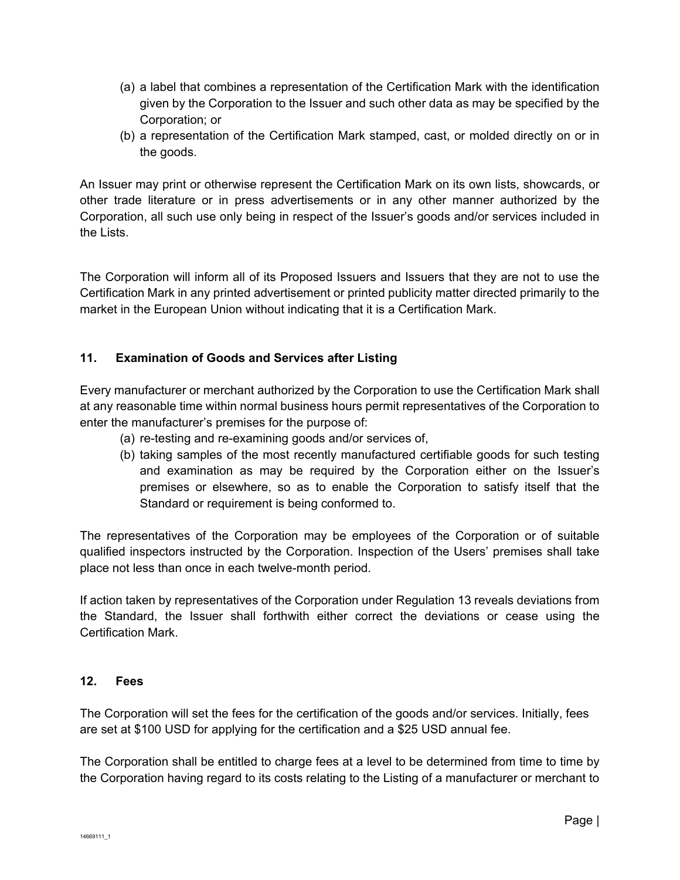- (a) a label that combines a representation of the Certification Mark with the identification given by the Corporation to the Issuer and such other data as may be specified by the Corporation; or
- (b) a representation of the Certification Mark stamped, cast, or molded directly on or in the goods.

An Issuer may print or otherwise represent the Certification Mark on its own lists, showcards, or other trade literature or in press advertisements or in any other manner authorized by the Corporation, all such use only being in respect of the Issuer's goods and/or services included in the Lists.

The Corporation will inform all of its Proposed Issuers and Issuers that they are not to use the Certification Mark in any printed advertisement or printed publicity matter directed primarily to the market in the European Union without indicating that it is a Certification Mark.

# **11. Examination of Goods and Services after Listing**

Every manufacturer or merchant authorized by the Corporation to use the Certification Mark shall at any reasonable time within normal business hours permit representatives of the Corporation to enter the manufacturer's premises for the purpose of:

- (a) re-testing and re-examining goods and/or services of,
- (b) taking samples of the most recently manufactured certifiable goods for such testing and examination as may be required by the Corporation either on the Issuer's premises or elsewhere, so as to enable the Corporation to satisfy itself that the Standard or requirement is being conformed to.

The representatives of the Corporation may be employees of the Corporation or of suitable qualified inspectors instructed by the Corporation. Inspection of the Users' premises shall take place not less than once in each twelve-month period.

If action taken by representatives of the Corporation under Regulation 13 reveals deviations from the Standard, the Issuer shall forthwith either correct the deviations or cease using the Certification Mark.

## **12. Fees**

The Corporation will set the fees for the certification of the goods and/or services. Initially, fees are set at \$100 USD for applying for the certification and a \$25 USD annual fee.

The Corporation shall be entitled to charge fees at a level to be determined from time to time by the Corporation having regard to its costs relating to the Listing of a manufacturer or merchant to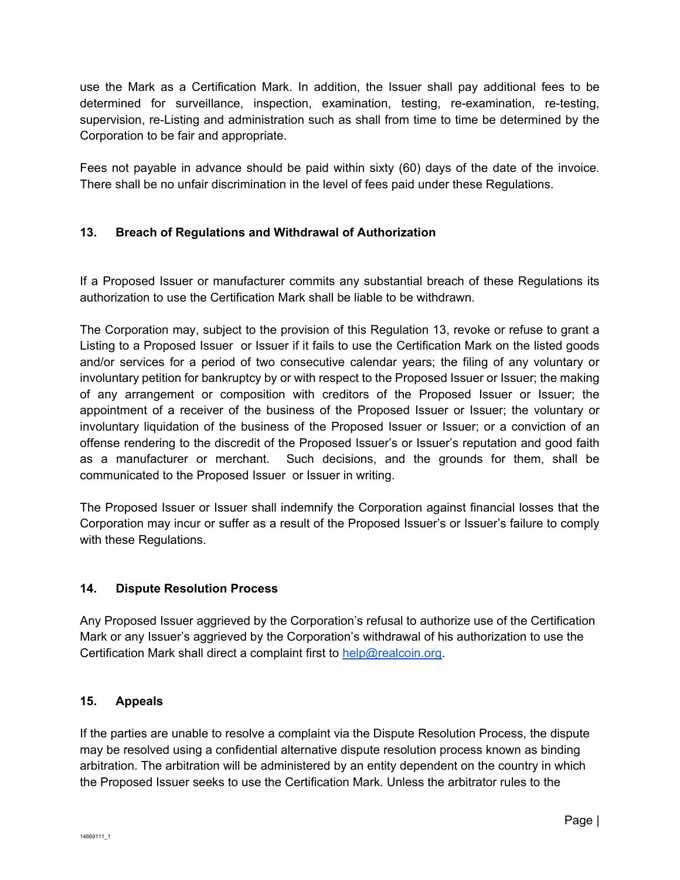use the Mark as a Certification Mark. In addition, the Issuer shall pay additional fees to be determined for surveillance, inspection, examination, testing, re-examination, re-testing, supervision, re-Listing and administration such as shall from time to time be determined by the Corporation to be fair and appropriate.

Fees not payable in advance should be paid within sixty (60) days of the date of the invoice. There shall be no unfair discrimination in the level of fees paid under these Regulations.

# **13. Breach of Regulations and Withdrawal of Authorization**

If a Proposed Issuer or manufacturer commits any substantial breach of these Regulations its authorization to use the Certification Mark shall be liable to be withdrawn.

The Corporation may, subject to the provision of this Regulation 13, revoke or refuse to grant a Listing to a Proposed Issuer or Issuer if it fails to use the Certification Mark on the listed goods and/or services for a period of two consecutive calendar years; the filing of any voluntary or involuntary petition for bankruptcy by or with respect to the Proposed Issuer or Issuer; the making of any arrangement or composition with creditors of the Proposed Issuer or Issuer; the appointment of a receiver of the business of the Proposed Issuer or Issuer; the voluntary or involuntary liquidation of the business of the Proposed Issuer or Issuer; or a conviction of an offense rendering to the discredit of the Proposed Issuer's or Issuer's reputation and good faith as a manufacturer or merchant. Such decisions, and the grounds for them, shall be communicated to the Proposed Issuer or Issuer in writing.

The Proposed Issuer or Issuer shall indemnify the Corporation against financial losses that the Corporation may incur or suffer as a result of the Proposed Issuer's or Issuer's failure to comply with these Regulations.

## **14. Dispute Resolution Process**

Any Proposed Issuer aggrieved by the Corporation's refusal to authorize use of the Certification Mark or any Issuer's aggrieved by the Corporation's withdrawal of his authorization to use the Certification Mark shall direct a complaint first to help@realcoin.org.

## **15. Appeals**

If the parties are unable to resolve a complaint via the Dispute Resolution Process, the dispute may be resolved using a confidential alternative dispute resolution process known as binding arbitration. The arbitration will be administered by an entity dependent on the country in which the Proposed Issuer seeks to use the Certification Mark. Unless the arbitrator rules to the